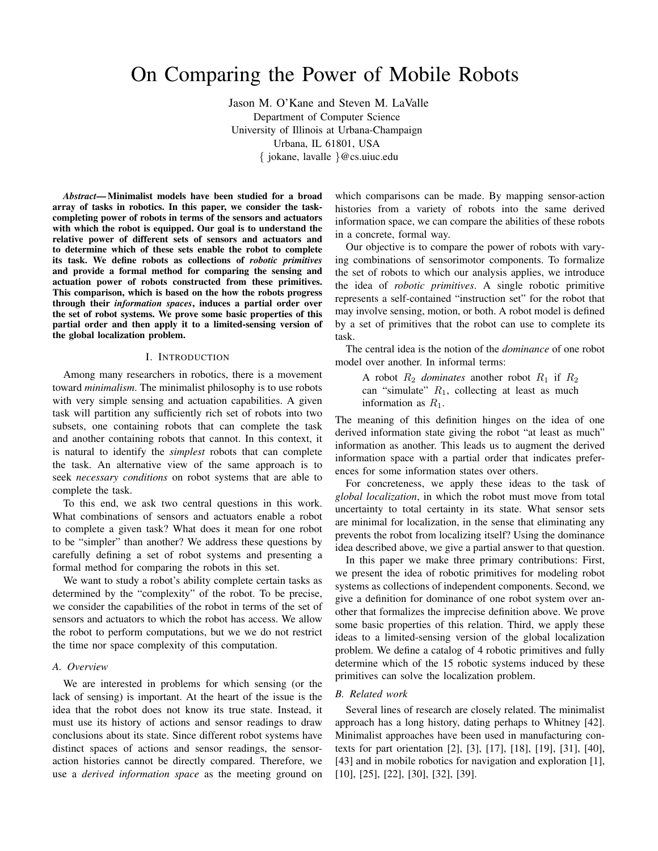# On Comparing the Power of Mobile Robots

Jason M. O'Kane and Steven M. LaValle Department of Computer Science University of Illinois at Urbana-Champaign Urbana, IL 61801, USA { jokane, lavalle }@cs.uiuc.edu

*Abstract***— Minimalist models have been studied for a broad array of tasks in robotics. In this paper, we consider the taskcompleting power of robots in terms of the sensors and actuators with which the robot is equipped. Our goal is to understand the relative power of different sets of sensors and actuators and to determine which of these sets enable the robot to complete its task. We define robots as collections of** *robotic primitives* **and provide a formal method for comparing the sensing and actuation power of robots constructed from these primitives. This comparison, which is based on the how the robots progress through their** *information spaces***, induces a partial order over the set of robot systems. We prove some basic properties of this partial order and then apply it to a limited-sensing version of the global localization problem.**

#### I. INTRODUCTION

Among many researchers in robotics, there is a movement toward *minimalism*. The minimalist philosophy is to use robots with very simple sensing and actuation capabilities. A given task will partition any sufficiently rich set of robots into two subsets, one containing robots that can complete the task and another containing robots that cannot. In this context, it is natural to identify the *simplest* robots that can complete the task. An alternative view of the same approach is to seek *necessary conditions* on robot systems that are able to complete the task.

To this end, we ask two central questions in this work. What combinations of sensors and actuators enable a robot to complete a given task? What does it mean for one robot to be "simpler" than another? We address these questions by carefully defining a set of robot systems and presenting a formal method for comparing the robots in this set.

We want to study a robot's ability complete certain tasks as determined by the "complexity" of the robot. To be precise, we consider the capabilities of the robot in terms of the set of sensors and actuators to which the robot has access. We allow the robot to perform computations, but we we do not restrict the time nor space complexity of this computation.

# *A. Overview*

We are interested in problems for which sensing (or the lack of sensing) is important. At the heart of the issue is the idea that the robot does not know its true state. Instead, it must use its history of actions and sensor readings to draw conclusions about its state. Since different robot systems have distinct spaces of actions and sensor readings, the sensoraction histories cannot be directly compared. Therefore, we use a *derived information space* as the meeting ground on

which comparisons can be made. By mapping sensor-action histories from a variety of robots into the same derived information space, we can compare the abilities of these robots in a concrete, formal way.

Our objective is to compare the power of robots with varying combinations of sensorimotor components. To formalize the set of robots to which our analysis applies, we introduce the idea of *robotic primitives*. A single robotic primitive represents a self-contained "instruction set" for the robot that may involve sensing, motion, or both. A robot model is defined by a set of primitives that the robot can use to complete its task.

The central idea is the notion of the *dominance* of one robot model over another. In informal terms:

A robot  $R_2$  *dominates* another robot  $R_1$  if  $R_2$ can "simulate"  $R_1$ , collecting at least as much information as  $R_1$ .

The meaning of this definition hinges on the idea of one derived information state giving the robot "at least as much" information as another. This leads us to augment the derived information space with a partial order that indicates preferences for some information states over others.

For concreteness, we apply these ideas to the task of *global localization*, in which the robot must move from total uncertainty to total certainty in its state. What sensor sets are minimal for localization, in the sense that eliminating any prevents the robot from localizing itself? Using the dominance idea described above, we give a partial answer to that question.

In this paper we make three primary contributions: First, we present the idea of robotic primitives for modeling robot systems as collections of independent components. Second, we give a definition for dominance of one robot system over another that formalizes the imprecise definition above. We prove some basic properties of this relation. Third, we apply these ideas to a limited-sensing version of the global localization problem. We define a catalog of 4 robotic primitives and fully determine which of the 15 robotic systems induced by these primitives can solve the localization problem.

#### *B. Related work*

Several lines of research are closely related. The minimalist approach has a long history, dating perhaps to Whitney [42]. Minimalist approaches have been used in manufacturing contexts for part orientation [2], [3], [17], [18], [19], [31], [40], [43] and in mobile robotics for navigation and exploration [1], [10], [25], [22], [30], [32], [39].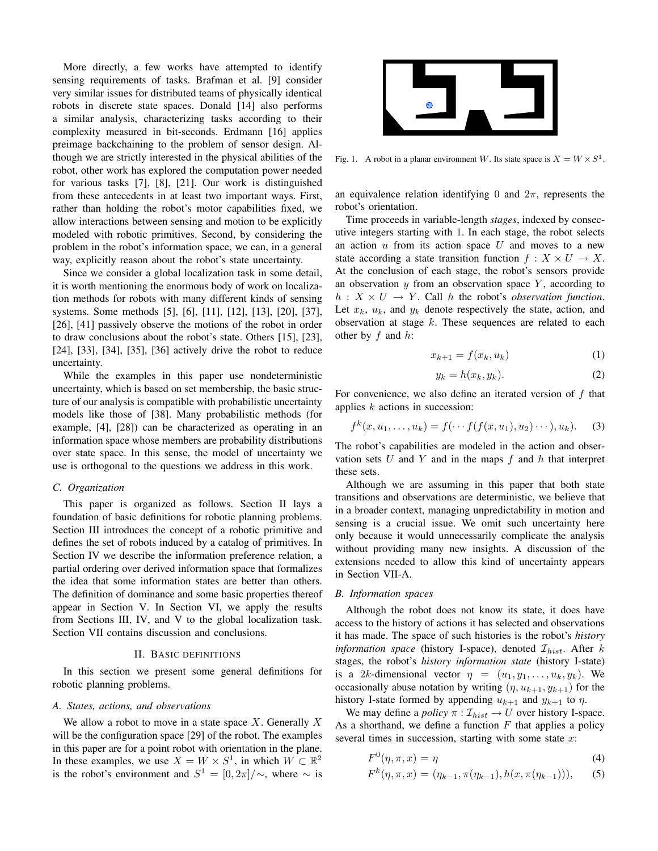More directly, a few works have attempted to identify sensing requirements of tasks. Brafman et al. [9] consider very similar issues for distributed teams of physically identical robots in discrete state spaces. Donald [14] also performs a similar analysis, characterizing tasks according to their complexity measured in bit-seconds. Erdmann [16] applies preimage backchaining to the problem of sensor design. Although we are strictly interested in the physical abilities of the robot, other work has explored the computation power needed for various tasks [7], [8], [21]. Our work is distinguished from these antecedents in at least two important ways. First, rather than holding the robot's motor capabilities fixed, we allow interactions between sensing and motion to be explicitly modeled with robotic primitives. Second, by considering the problem in the robot's information space, we can, in a general way, explicitly reason about the robot's state uncertainty.

Since we consider a global localization task in some detail, it is worth mentioning the enormous body of work on localization methods for robots with many different kinds of sensing systems. Some methods [5], [6], [11], [12], [13], [20], [37], [26], [41] passively observe the motions of the robot in order to draw conclusions about the robot's state. Others [15], [23], [24], [33], [34], [35], [36] actively drive the robot to reduce uncertainty.

While the examples in this paper use nondeterministic uncertainty, which is based on set membership, the basic structure of our analysis is compatible with probabilistic uncertainty models like those of [38]. Many probabilistic methods (for example, [4], [28]) can be characterized as operating in an information space whose members are probability distributions over state space. In this sense, the model of uncertainty we use is orthogonal to the questions we address in this work.

#### *C. Organization*

This paper is organized as follows. Section II lays a foundation of basic definitions for robotic planning problems. Section III introduces the concept of a robotic primitive and defines the set of robots induced by a catalog of primitives. In Section IV we describe the information preference relation, a partial ordering over derived information space that formalizes the idea that some information states are better than others. The definition of dominance and some basic properties thereof appear in Section V. In Section VI, we apply the results from Sections III, IV, and V to the global localization task. Section VII contains discussion and conclusions.

#### II. BASIC DEFINITIONS

In this section we present some general definitions for robotic planning problems.

#### *A. States, actions, and observations*

We allow a robot to move in a state space X. Generally X will be the configuration space [29] of the robot. The examples in this paper are for a point robot with orientation in the plane. In these examples, we use  $X = W \times S^1$ , in which  $W \subset \mathbb{R}^2$ is the robot's environment and  $S^1 = [0, 2\pi]/\sim$ , where  $\sim$  is



Fig. 1. A robot in a planar environment W. Its state space is  $X = W \times S^1$ .

an equivalence relation identifying 0 and  $2\pi$ , represents the robot's orientation.

Time proceeds in variable-length *stages*, indexed by consecutive integers starting with 1. In each stage, the robot selects an action  $u$  from its action space  $U$  and moves to a new state according a state transition function  $f : X \times U \to X$ . At the conclusion of each stage, the robot's sensors provide an observation  $y$  from an observation space  $Y$ , according to  $h: X \times U \rightarrow Y$ . Call h the robot's *observation function*. Let  $x_k$ ,  $u_k$ , and  $y_k$  denote respectively the state, action, and observation at stage  $k$ . These sequences are related to each other by  $f$  and  $h$ :

$$
x_{k+1} = f(x_k, u_k) \tag{1}
$$

$$
y_k = h(x_k, y_k). \tag{2}
$$

For convenience, we also define an iterated version of f that applies  $k$  actions in succession:

$$
f^{k}(x, u_{1},..., u_{k}) = f(\cdots f(f(x, u_{1}), u_{2})\cdots), u_{k}).
$$
 (3)

The robot's capabilities are modeled in the action and observation sets  $U$  and  $Y$  and in the maps  $f$  and  $h$  that interpret these sets.

Although we are assuming in this paper that both state transitions and observations are deterministic, we believe that in a broader context, managing unpredictability in motion and sensing is a crucial issue. We omit such uncertainty here only because it would unnecessarily complicate the analysis without providing many new insights. A discussion of the extensions needed to allow this kind of uncertainty appears in Section VII-A.

#### *B. Information spaces*

Although the robot does not know its state, it does have access to the history of actions it has selected and observations it has made. The space of such histories is the robot's *history information space* (history I-space), denoted  $\mathcal{I}_{hist}$ . After  $k$ stages, the robot's *history information state* (history I-state) is a 2k-dimensional vector  $\eta = (u_1, y_1, \ldots, u_k, y_k)$ . We occasionally abuse notation by writing  $(\eta, u_{k+1}, y_{k+1})$  for the history I-state formed by appending  $u_{k+1}$  and  $y_{k+1}$  to  $\eta$ .

We may define a *policy*  $\pi : \mathcal{I}_{hist} \to U$  over history I-space. As a shorthand, we define a function  $F$  that applies a policy several times in succession, starting with some state  $x$ :

$$
F^{0}(\eta, \pi, x) = \eta \tag{4}
$$

$$
F^{k}(\eta, \pi, x) = (\eta_{k-1}, \pi(\eta_{k-1}), h(x, \pi(\eta_{k-1}))),
$$
 (5)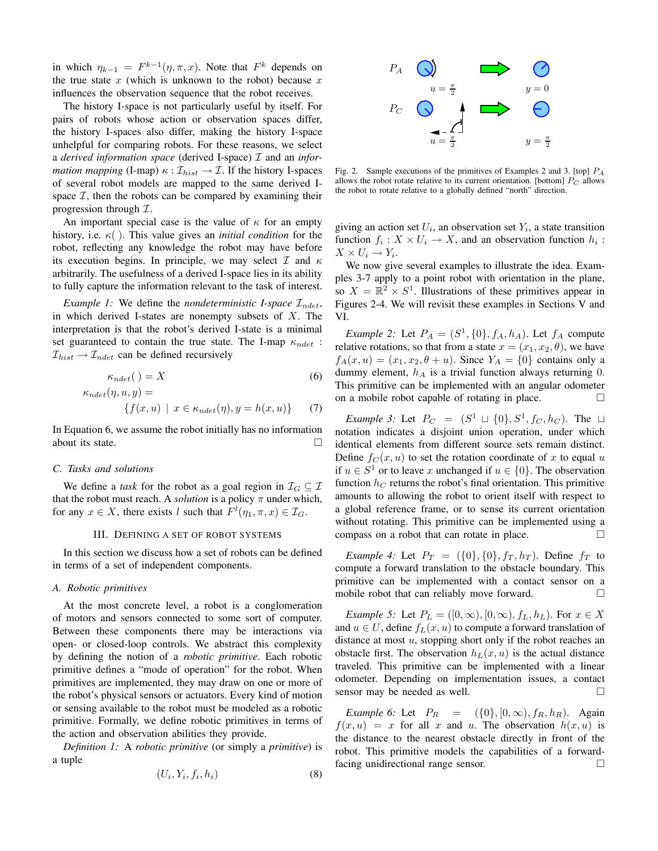in which  $\eta_{k-1} = F^{k-1}(\eta, \pi, x)$ . Note that  $F^k$  depends on the true state  $x$  (which is unknown to the robot) because  $x$ influences the observation sequence that the robot receives.

The history I-space is not particularly useful by itself. For pairs of robots whose action or observation spaces differ, the history I-spaces also differ, making the history I-space unhelpful for comparing robots. For these reasons, we select a *derived information space* (derived I-space) I and an *information mapping* (I-map)  $\kappa : \mathcal{I}_{hist} \to \mathcal{I}$ . If the history I-spaces of several robot models are mapped to the same derived Ispace  $I$ , then the robots can be compared by examining their progression through  $\mathcal{I}$ .

An important special case is the value of  $\kappa$  for an empty history, i.e. κ( ). This value gives an *initial condition* for the robot, reflecting any knowledge the robot may have before its execution begins. In principle, we may select  $\mathcal I$  and  $\kappa$ arbitrarily. The usefulness of a derived I-space lies in its ability to fully capture the information relevant to the task of interest.

*Example 1:* We define the *nondeterministic I-space*  $\mathcal{I}_{ndet}$ , in which derived I-states are nonempty subsets of  $X$ . The interpretation is that the robot's derived I-state is a minimal set guaranteed to contain the true state. The I-map  $\kappa_{ndet}$ :  $\mathcal{I}_{hist} \rightarrow \mathcal{I}_{ndet}$  can be defined recursively

$$
\kappa_{ndet}(\ ) = X \tag{6}
$$

$$
\kappa_{ndet}(\eta, u, y) =
$$
  
{ $f(x, u) \mid x \in \kappa_{ndet}(\eta), y = h(x, u)$ } (7)

In Equation 6, we assume the robot initially has no information about its state.

# *C. Tasks and solutions*

We define a *task* for the robot as a goal region in  $\mathcal{I}_G \subseteq \mathcal{I}$ that the robot must reach. A *solution* is a policy  $\pi$  under which, for any  $x \in X$ , there exists l such that  $F^l(\eta_1, \pi, x) \in \mathcal{I}_G$ .

# III. DEFINING A SET OF ROBOT SYSTEMS

In this section we discuss how a set of robots can be defined in terms of a set of independent components.

## *A. Robotic primitives*

At the most concrete level, a robot is a conglomeration of motors and sensors connected to some sort of computer. Between these components there may be interactions via open- or closed-loop controls. We abstract this complexity by defining the notion of a *robotic primitive*. Each robotic primitive defines a "mode of operation" for the robot. When primitives are implemented, they may draw on one or more of the robot's physical sensors or actuators. Every kind of motion or sensing available to the robot must be modeled as a robotic primitive. Formally, we define robotic primitives in terms of the action and observation abilities they provide.

*Definition 1:* A *robotic primitive* (or simply a *primitive*) is a tuple

$$
(U_i, Y_i, f_i, h_i) \tag{8}
$$



Fig. 2. Sample executions of the primitives of Examples 2 and 3. [top]  $P_A$ allows the robot rotate relative to its current orientation. [bottom]  $P_C$  allows the robot to rotate relative to a globally defined "north" direction.

giving an action set  $U_i$ , an observation set  $Y_i$ , a state transition function  $f_i: X \times U_i \to X$ , and an observation function  $h_i$ :  $X \times U_i \to Y_i.$ 

We now give several examples to illustrate the idea. Examples 3-7 apply to a point robot with orientation in the plane, so  $X = \mathbb{R}^2 \times S^1$ . Illustrations of these primitives appear in Figures 2-4. We will revisit these examples in Sections V and VI.

*Example 2:* Let  $P_A = (S^1, \{0\}, f_A, h_A)$ . Let  $f_A$  compute relative rotations, so that from a state  $x = (x_1, x_2, \theta)$ , we have  $f_A(x, u) = (x_1, x_2, \theta + u)$ . Since  $Y_A = \{0\}$  contains only a dummy element,  $h_A$  is a trivial function always returning 0. This primitive can be implemented with an angular odometer on a mobile robot capable of rotating in place.

*Example 3:* Let  $P_C = (S^1 \sqcup \{0\}, S^1, f_C, h_C)$ . The  $\sqcup$ notation indicates a disjoint union operation, under which identical elements from different source sets remain distinct. Define  $f_C(x, u)$  to set the rotation coordinate of x to equal u if  $u \in S^1$  or to leave x unchanged if  $u \in \{0\}$ . The observation function  $h<sub>C</sub>$  returns the robot's final orientation. This primitive amounts to allowing the robot to orient itself with respect to a global reference frame, or to sense its current orientation without rotating. This primitive can be implemented using a compass on a robot that can rotate in place.

*Example 4:* Let  $P_T = (\{0\}, \{0\}, f_T, h_T)$ . Define  $f_T$  to compute a forward translation to the obstacle boundary. This primitive can be implemented with a contact sensor on a mobile robot that can reliably move forward.

*Example 5:* Let  $P_L = ([0, \infty), [0, \infty), f_L, h_L)$ . For  $x \in X$ and  $u \in U$ , define  $f_L(x, u)$  to compute a forward translation of distance at most  $u$ , stopping short only if the robot reaches an obstacle first. The observation  $h_L(x, u)$  is the actual distance traveled. This primitive can be implemented with a linear odometer. Depending on implementation issues, a contact sensor may be needed as well.

*Example 6:* Let  $P_R = (\{0\}, [0, \infty), f_R, h_R)$ . Again  $f(x, u) = x$  for all x and u. The observation  $h(x, u)$  is the distance to the nearest obstacle directly in front of the robot. This primitive models the capabilities of a forwardfacing unidirectional range sensor.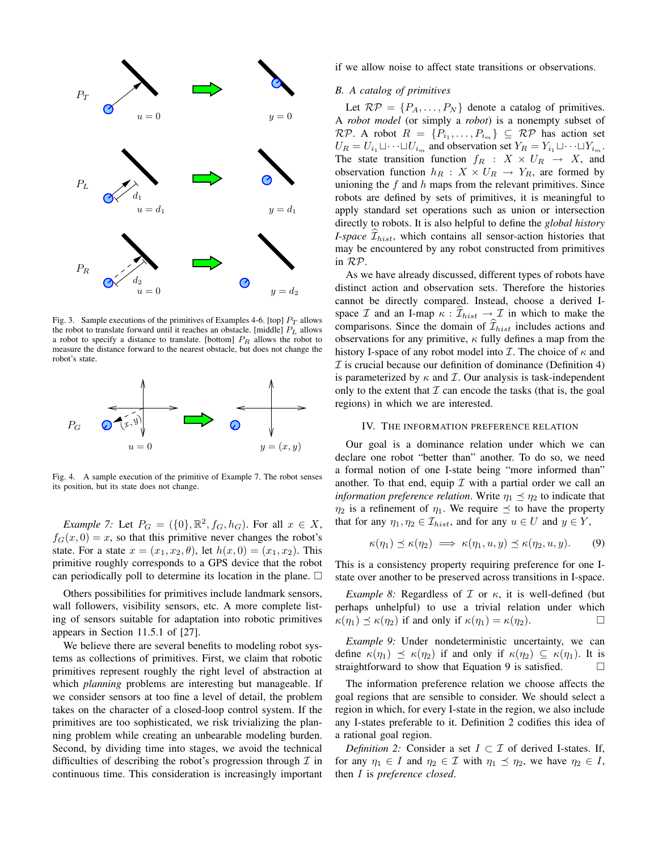

Fig. 3. Sample executions of the primitives of Examples 4-6. [top]  $P_T$  allows the robot to translate forward until it reaches an obstacle. [middle]  $P_L$  allows a robot to specify a distance to translate. [bottom]  $P_R$  allows the robot to measure the distance forward to the nearest obstacle, but does not change the robot's state.



Fig. 4. A sample execution of the primitive of Example 7. The robot senses its position, but its state does not change.

*Example 7:* Let  $P_G = (\{0\}, \mathbb{R}^2, f_G, h_G)$ . For all  $x \in X$ ,  $f_G(x, 0) = x$ , so that this primitive never changes the robot's state. For a state  $x = (x_1, x_2, \theta)$ , let  $h(x, 0) = (x_1, x_2)$ . This primitive roughly corresponds to a GPS device that the robot can periodically poll to determine its location in the plane.  $\Box$ 

Others possibilities for primitives include landmark sensors, wall followers, visibility sensors, etc. A more complete listing of sensors suitable for adaptation into robotic primitives appears in Section 11.5.1 of [27].

We believe there are several benefits to modeling robot systems as collections of primitives. First, we claim that robotic primitives represent roughly the right level of abstraction at which *planning* problems are interesting but manageable. If we consider sensors at too fine a level of detail, the problem takes on the character of a closed-loop control system. If the primitives are too sophisticated, we risk trivializing the planning problem while creating an unbearable modeling burden. Second, by dividing time into stages, we avoid the technical difficulties of describing the robot's progression through  $\mathcal I$  in continuous time. This consideration is increasingly important if we allow noise to affect state transitions or observations.

# *B. A catalog of primitives*

Let  $RP = \{P_A, \ldots, P_N\}$  denote a catalog of primitives. A *robot model* (or simply a *robot*) is a nonempty subset of  $\mathcal{RP}.$  A robot  $R = \{P_{i_1}, \ldots, P_{i_m}\} \subseteq \mathcal{RP}$  has action set  $U_R = U_{i_1} \sqcup \cdots \sqcup U_{i_m}$  and observation set  $Y_R = Y_{i_1} \sqcup \cdots \sqcup Y_{i_m}$ . The state transition function  $f_R$  :  $X \times U_R \rightarrow X$ , and observation function  $h_R : X \times U_R \rightarrow Y_R$ , are formed by unioning the  $f$  and  $h$  maps from the relevant primitives. Since robots are defined by sets of primitives, it is meaningful to apply standard set operations such as union or intersection directly to robots. It is also helpful to define the *global history I-space*  $\widehat{\mathcal{I}}_{hist}$ , which contains all sensor-action histories that may be encountered by any robot constructed from primitives in RP.

As we have already discussed, different types of robots have distinct action and observation sets. Therefore the histories cannot be directly compared. Instead, choose a derived Ispace  $\mathcal I$  and an I-map  $\kappa : \widehat{\mathcal I}_{hist} \to \mathcal I$  in which to make the comparisons. Since the domain of  $\mathcal{I}_{hist}$  includes actions and observations for any primitive,  $\kappa$  fully defines a map from the history I-space of any robot model into  $\mathcal I$ . The choice of  $\kappa$  and  $I$  is crucial because our definition of dominance (Definition 4) is parameterized by  $\kappa$  and  $\mathcal{I}$ . Our analysis is task-independent only to the extent that  $\mathcal I$  can encode the tasks (that is, the goal regions) in which we are interested.

# IV. THE INFORMATION PREFERENCE RELATION

Our goal is a dominance relation under which we can declare one robot "better than" another. To do so, we need a formal notion of one I-state being "more informed than" another. To that end, equip  $\mathcal I$  with a partial order we call an *information preference relation*. Write  $\eta_1 \preceq \eta_2$  to indicate that  $\eta_2$  is a refinement of  $\eta_1$ . We require  $\preceq$  to have the property that for any  $\eta_1, \eta_2 \in \mathcal{I}_{hist}$ , and for any  $u \in U$  and  $y \in Y$ ,

$$
\kappa(\eta_1) \preceq \kappa(\eta_2) \implies \kappa(\eta_1, u, y) \preceq \kappa(\eta_2, u, y). \tag{9}
$$

This is a consistency property requiring preference for one Istate over another to be preserved across transitions in I-space.

*Example 8:* Regardless of  $I$  or  $\kappa$ , it is well-defined (but perhaps unhelpful) to use a trivial relation under which  $\kappa(\eta_1) \preceq \kappa(\eta_2)$  if and only if  $\kappa(\eta_1) = \kappa(\eta_2)$ .

*Example 9:* Under nondeterministic uncertainty, we can define  $\kappa(\eta_1) \preceq \kappa(\eta_2)$  if and only if  $\kappa(\eta_2) \subseteq \kappa(\eta_1)$ . It is straightforward to show that Equation 9 is satisfied.  $\Box$ 

The information preference relation we choose affects the goal regions that are sensible to consider. We should select a region in which, for every I-state in the region, we also include any I-states preferable to it. Definition 2 codifies this idea of a rational goal region.

*Definition 2:* Consider a set  $I \subset I$  of derived I-states. If, for any  $\eta_1 \in I$  and  $\eta_2 \in \mathcal{I}$  with  $\eta_1 \preceq \eta_2$ , we have  $\eta_2 \in I$ , then I is *preference closed*.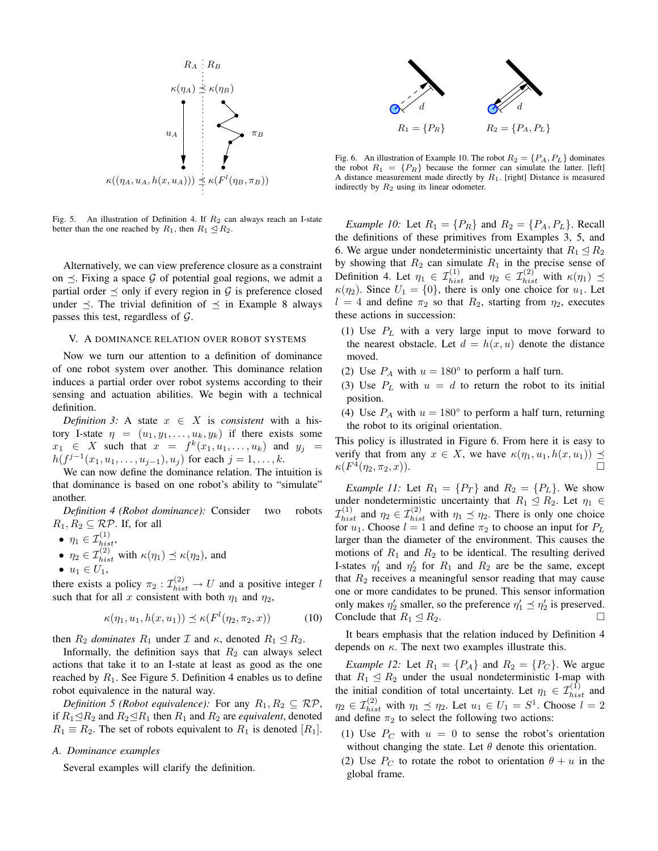

Fig. 5. An illustration of Definition 4. If  $R_2$  can always reach an I-state better than the one reached by  $R_1$ , then  $R_1 \leq R_2$ .

Alternatively, we can view preference closure as a constraint on  $\preceq$ . Fixing a space G of potential goal regions, we admit a partial order  $\preceq$  only if every region in G is preference closed under  $\preceq$ . The trivial definition of  $\preceq$  in Example 8 always passes this test, regardless of  $\mathcal{G}$ .

# V. A DOMINANCE RELATION OVER ROBOT SYSTEMS

Now we turn our attention to a definition of dominance of one robot system over another. This dominance relation induces a partial order over robot systems according to their sensing and actuation abilities. We begin with a technical definition.

*Definition 3:* A state  $x \in X$  is *consistent* with a history I-state  $\eta = (u_1, y_1, \dots, u_k, y_k)$  if there exists some  $x_1 \in X$  such that  $x = f^k(x_1, u_1, \ldots, u_k)$  and  $y_j =$  $h(f^{j-1}(x_1, u_1, \ldots, u_{j-1}), u_j)$  for each  $j = 1, \ldots, k$ .

We can now define the dominance relation. The intuition is that dominance is based on one robot's ability to "simulate" another.

*Definition 4 (Robot dominance):* Consider two robots  $R_1, R_2 \subseteq \mathcal{RP}$ . If, for all

$$
\bullet \ \eta_1 \in \mathcal{I}_{hist}^{(1)},
$$

- $\eta_2 \in \mathcal{I}_{hist}^{(2)}$  with  $\kappa(\eta_1) \preceq \kappa(\eta_2)$ , and
- $u_1 \in U_1$ ,

there exists a policy  $\pi_2 : \mathcal{I}_{hist}^{(2)} \to U$  and a positive integer l such that for all x consistent with both  $\eta_1$  and  $\eta_2$ ,

$$
\kappa(\eta_1, u_1, h(x, u_1)) \preceq \kappa(F^l(\eta_2, \pi_2, x)) \tag{10}
$$

then  $R_2$  *dominates*  $R_1$  under  $\mathcal I$  and  $\kappa$ , denoted  $R_1 \leq R_2$ .

Informally, the definition says that  $R_2$  can always select actions that take it to an I-state at least as good as the one reached by  $R_1$ . See Figure 5. Definition 4 enables us to define robot equivalence in the natural way.

*Definition 5 (Robot equivalence):* For any  $R_1, R_2 \subseteq \mathcal{RP}$ , if  $R_1 \trianglelefteq R_2$  and  $R_2 \trianglelefteq R_1$  then  $R_1$  and  $R_2$  are *equivalent*, denoted  $R_1 \equiv R_2$ . The set of robots equivalent to  $R_1$  is denoted  $[R_1]$ .

## *A. Dominance examples*

Several examples will clarify the definition.



Fig. 6. An illustration of Example 10. The robot  $R_2 = \{P_A, P_L\}$  dominates the robot  $R_1 = \{P_R\}$  because the former can simulate the latter. [left] A distance measurement made directly by  $R_1$ . [right] Distance is measured indirectly by  $R_2$  using its linear odometer.

*Example 10:* Let  $R_1 = \{P_R\}$  and  $R_2 = \{P_A, P_L\}$ . Recall the definitions of these primitives from Examples 3, 5, and 6. We argue under nondeterministic uncertainty that  $R_1 \trianglelefteq R_2$ by showing that  $R_2$  can simulate  $R_1$  in the precise sense of Definition 4. Let  $\eta_1 \in \mathcal{I}_{hist}^{(1)}$  and  $\eta_2 \in \mathcal{I}_{hist}^{(2)}$  with  $\kappa(\eta_1) \preceq$  $\kappa(\eta_2)$ . Since  $U_1 = \{0\}$ , there is only one choice for  $u_1$ . Let  $l = 4$  and define  $\pi_2$  so that  $R_2$ , starting from  $\eta_2$ , executes these actions in succession:

- (1) Use  $P_L$  with a very large input to move forward to the nearest obstacle. Let  $d = h(x, u)$  denote the distance moved.
- (2) Use  $P_A$  with  $u = 180^\circ$  to perform a half turn.
- (3) Use  $P_L$  with  $u = d$  to return the robot to its initial position.
- (4) Use  $P_A$  with  $u = 180^\circ$  to perform a half turn, returning the robot to its original orientation.

This policy is illustrated in Figure 6. From here it is easy to verify that from any  $x \in X$ , we have  $\kappa(\eta_1, u_1, h(x, u_1)) \preceq$  $\kappa(F^4(\eta_2,\pi_2,x)).$ 

*Example 11:* Let  $R_1 = \{P_T\}$  and  $R_2 = \{P_L\}$ . We show under nondeterministic uncertainty that  $R_1 \leq R_2$ . Let  $\eta_1 \in$  $\mathcal{I}_{hist}^{(1)}$  and  $\eta_2 \in \mathcal{I}_{hist}^{(2)}$  with  $\eta_1 \preceq \eta_2$ . There is only one choice for  $u_1$ . Choose  $l = 1$  and define  $\pi_2$  to choose an input for  $P_L$ larger than the diameter of the environment. This causes the motions of  $R_1$  and  $R_2$  to be identical. The resulting derived I-states  $\eta'_1$  and  $\eta'_2$  for  $R_1$  and  $R_2$  are be the same, except that  $R_2$  receives a meaningful sensor reading that may cause one or more candidates to be pruned. This sensor information only makes  $\eta'_2$  smaller, so the preference  $\eta'_1 \preceq \eta'_2$  is preserved. Conclude that  $R_1 \leq R_2$ .

It bears emphasis that the relation induced by Definition 4 depends on  $\kappa$ . The next two examples illustrate this.

*Example 12:* Let  $R_1 = \{P_A\}$  and  $R_2 = \{P_C\}$ . We argue that  $R_1 \leq R_2$  under the usual nondeterministic I-map with the initial condition of total uncertainty. Let  $\eta_1 \in \mathcal{I}_{hist}^{(1)}$  and  $\eta_2 \in \mathcal{I}_{hist}^{(2)}$  with  $\eta_1 \preceq \eta_2$ . Let  $u_1 \in U_1 = S^1$ . Choose  $l = 2$ and define  $\pi_2$  to select the following two actions:

- (1) Use  $P_C$  with  $u = 0$  to sense the robot's orientation without changing the state. Let  $\theta$  denote this orientation.
- (2) Use  $P_C$  to rotate the robot to orientation  $\theta + u$  in the global frame.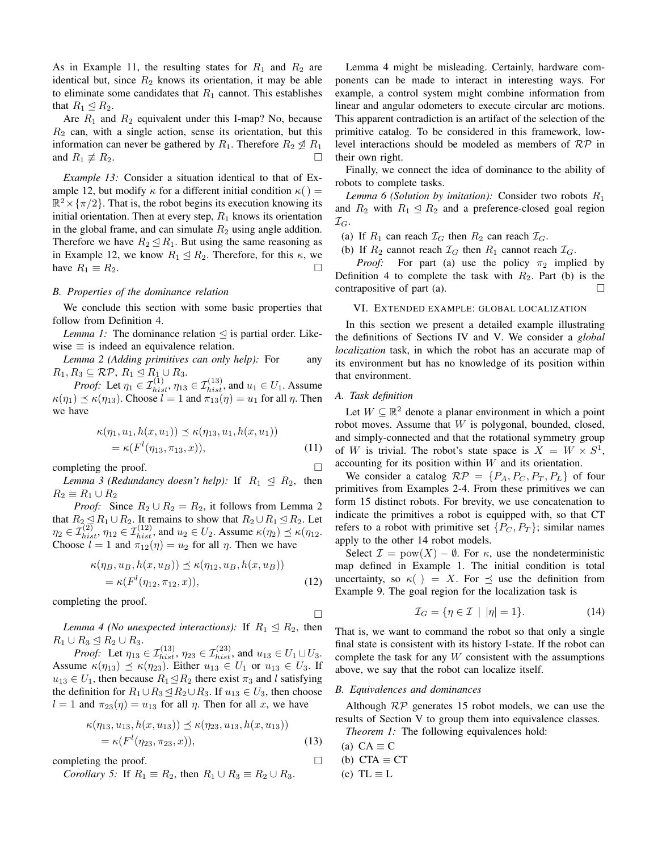As in Example 11, the resulting states for  $R_1$  and  $R_2$  are identical but, since  $R_2$  knows its orientation, it may be able to eliminate some candidates that  $R_1$  cannot. This establishes that  $R_1 \trianglelefteq R_2$ .

Are  $R_1$  and  $R_2$  equivalent under this I-map? No, because  $R_2$  can, with a single action, sense its orientation, but this information can never be gathered by  $R_1$ . Therefore  $R_2 \nleq R_1$ and  $R_1 \not\equiv R_2$ .

*Example 13:* Consider a situation identical to that of Example 12, but modify  $\kappa$  for a different initial condition  $\kappa$  () =  $\mathbb{R}^2 \times {\{\pi/2\}}$ . That is, the robot begins its execution knowing its initial orientation. Then at every step,  $R_1$  knows its orientation in the global frame, and can simulate  $R_2$  using angle addition. Therefore we have  $R_2 \trianglelefteq R_1$ . But using the same reasoning as in Example 12, we know  $R_1 \leq R_2$ . Therefore, for this  $\kappa$ , we have  $R_1 \equiv R_2$ .

# *B. Properties of the dominance relation*

We conclude this section with some basic properties that follow from Definition 4.

*Lemma 1:* The dominance relation  $\triangleleft$  is partial order. Likewise  $\equiv$  is indeed an equivalence relation.

*Lemma 2 (Adding primitives can only help):* For any  $R_1, R_3 \subseteq \mathcal{RP}, R_1 \subseteq R_1 \cup R_3.$ 

*Proof:* Let  $\eta_1 \in \mathcal{I}_{hist}^{(1)}$ ,  $\eta_{13} \in \mathcal{I}_{hist}^{(13)}$ , and  $u_1 \in U_1$ . Assume  $\kappa(\eta_1) \preceq \kappa(\eta_{13})$ . Choose  $l = 1$  and  $\pi_{13}(\eta) = u_1$  for all  $\eta$ . Then we have

$$
\kappa(\eta_1, u_1, h(x, u_1)) \le \kappa(\eta_1, u_1, h(x, u_1)) \n= \kappa(F^l(\eta_1, \pi_1, x)),
$$
\n(11)

completing the proof.

*Lemma 3 (Redundancy doesn't help):* If  $R_1 \leq R_2$ , then  $R_2 \equiv R_1 \cup R_2$ 

*Proof:* Since  $R_2 \cup R_2 = R_2$ , it follows from Lemma 2 that  $R_2 \trianglelefteq R_1 \cup R_2$ . It remains to show that  $R_2 \cup R_1 \trianglelefteq R_2$ . Let  $\eta_2 \in \mathcal{I}_{hist}^{(2)}, \eta_{12} \in \mathcal{I}_{hist}^{(12)}, \text{ and } u_2 \in U_2. \text{ Assume } \kappa(\eta_2) \preceq \kappa(\eta_{12}).$ Choose  $l = 1$  and  $\pi_{12}(\eta) = u_2$  for all  $\eta$ . Then we have

$$
\kappa(\eta_B, u_B, h(x, u_B)) \preceq \kappa(\eta_{12}, u_B, h(x, u_B))
$$
  
=  $\kappa(F^l(\eta_{12}, \pi_{12}, x)),$  (12)

completing the proof.

*Lemma 4 (No unexpected interactions):* If  $R_1 \trianglelefteq R_2$ , then  $R_1 \cup R_3 \trianglelefteq R_2 \cup R_3.$ 

*Proof:* Let  $\eta_{13} \in \mathcal{I}_{hist}^{(13)}$ ,  $\eta_{23} \in \mathcal{I}_{hist}^{(23)}$ , and  $u_{13} \in U_1 \sqcup U_3$ . Assume  $\kappa(\eta_{13}) \preceq \kappa(\eta_{23})$ . Either  $u_{13} \in U_1$  or  $u_{13} \in U_3$ . If  $u_{13} \in U_1$ , then because  $R_1 \trianglelefteq R_2$  there exist  $\pi_3$  and l satisfying the definition for  $R_1 \cup R_3 \subseteq R_2 \cup R_3$ . If  $u_{13} \in U_3$ , then choose  $l = 1$  and  $\pi_{23}(\eta) = u_{13}$  for all  $\eta$ . Then for all x, we have

$$
\kappa(\eta_{13}, u_{13}, h(x, u_{13})) \preceq \kappa(\eta_{23}, u_{13}, h(x, u_{13})) \n= \kappa(F^l(\eta_{23}, \pi_{23}, x)),
$$
\n(13)

completing the proof.

*Corollary 5:* If  $R_1 \equiv R_2$ , then  $R_1 \cup R_3 \equiv R_2 \cup R_3$ .

Lemma 4 might be misleading. Certainly, hardware components can be made to interact in interesting ways. For example, a control system might combine information from linear and angular odometers to execute circular arc motions. This apparent contradiction is an artifact of the selection of the primitive catalog. To be considered in this framework, lowlevel interactions should be modeled as members of  $\mathcal{RP}$  in their own right.

Finally, we connect the idea of dominance to the ability of robots to complete tasks.

*Lemma 6 (Solution by imitation):* Consider two robots  $R_1$ and  $R_2$  with  $R_1 \leq R_2$  and a preference-closed goal region  $\mathcal{I}_G$ .

(a) If  $R_1$  can reach  $\mathcal{I}_G$  then  $R_2$  can reach  $\mathcal{I}_G$ .

(b) If  $R_2$  cannot reach  $\mathcal{I}_G$  then  $R_1$  cannot reach  $\mathcal{I}_G$ .

*Proof:* For part (a) use the policy  $\pi_2$  implied by Definition 4 to complete the task with  $R_2$ . Part (b) is the contrapositive of part (a).  $\Box$ 

### VI. EXTENDED EXAMPLE: GLOBAL LOCALIZATION

In this section we present a detailed example illustrating the definitions of Sections IV and V. We consider a *global localization* task, in which the robot has an accurate map of its environment but has no knowledge of its position within that environment.

# *A. Task definition*

Let  $W \subseteq \mathbb{R}^2$  denote a planar environment in which a point robot moves. Assume that  $W$  is polygonal, bounded, closed, and simply-connected and that the rotational symmetry group of W is trivial. The robot's state space is  $X = W \times S^1$ , accounting for its position within W and its orientation.

We consider a catalog  $RP = \{P_A, P_C, P_T, P_L\}$  of four primitives from Examples 2-4. From these primitives we can form 15 distinct robots. For brevity, we use concatenation to indicate the primitives a robot is equipped with, so that CT refers to a robot with primitive set  $\{P_C, P_T\}$ ; similar names apply to the other 14 robot models.

Select  $\mathcal{I} = \text{pow}(X) - \emptyset$ . For  $\kappa$ , use the nondeterministic map defined in Example 1. The initial condition is total uncertainty, so  $\kappa() = X$ . For  $\preceq$  use the definition from Example 9. The goal region for the localization task is

$$
\mathcal{I}_G = \{ \eta \in \mathcal{I} \mid |\eta| = 1 \}. \tag{14}
$$

That is, we want to command the robot so that only a single final state is consistent with its history I-state. If the robot can complete the task for any  $W$  consistent with the assumptions above, we say that the robot can localize itself.

# *B. Equivalences and dominances*

Although  $RP$  generates 15 robot models, we can use the results of Section V to group them into equivalence classes.

*Theorem 1:* The following equivalences hold:

(a) 
$$
CA \equiv C
$$

 $\Box$ 

(b) 
$$
CTA \equiv CT
$$

(c) 
$$
TL \equiv L
$$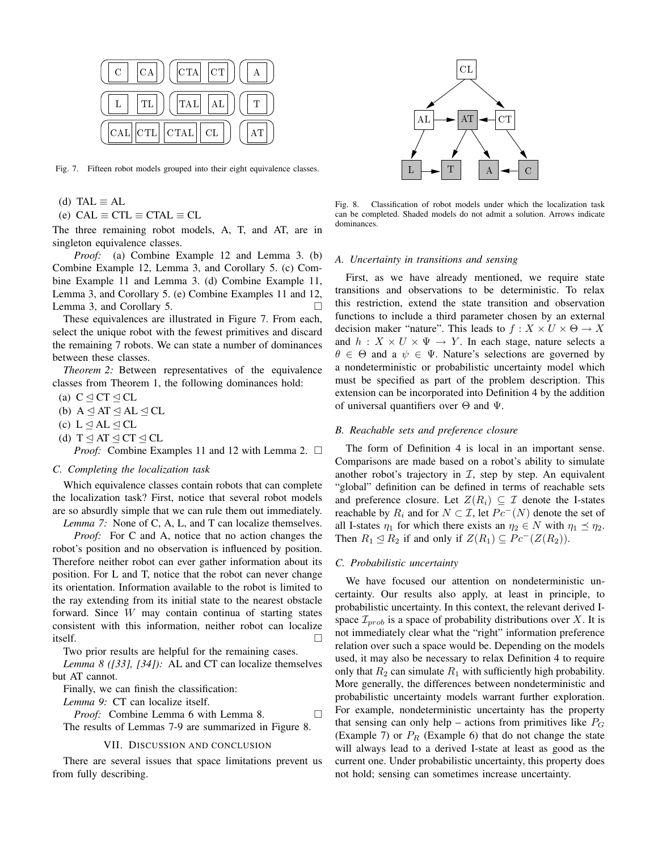

Fig. 7. Fifteen robot models grouped into their eight equivalence classes.

(d) TAL  $\equiv$  AL

(e)  $CAL \equiv CTL \equiv CTAL \equiv CL$ 

The three remaining robot models, A, T, and AT, are in singleton equivalence classes.

*Proof:* (a) Combine Example 12 and Lemma 3. (b) Combine Example 12, Lemma 3, and Corollary 5. (c) Combine Example 11 and Lemma 3. (d) Combine Example 11, Lemma 3, and Corollary 5. (e) Combine Examples 11 and 12, Lemma 3, and Corollary 5.

These equivalences are illustrated in Figure 7. From each, select the unique robot with the fewest primitives and discard the remaining 7 robots. We can state a number of dominances between these classes.

*Theorem 2:* Between representatives of the equivalence classes from Theorem 1, the following dominances hold:

- (a)  $C \triangleleft CT \triangleleft CL$
- (b)  $A \triangleleft AT \triangleleft AL \triangleleft CL$
- (c)  $L \leq AL \leq CL$
- (d)  $T \trianglelefteq AT \trianglelefteq CT \trianglelefteq CL$

*Proof:* Combine Examples 11 and 12 with Lemma 2. □

## *C. Completing the localization task*

Which equivalence classes contain robots that can complete the localization task? First, notice that several robot models are so absurdly simple that we can rule them out immediately.

*Lemma 7:* None of C, A, L, and T can localize themselves.

*Proof:* For C and A, notice that no action changes the robot's position and no observation is influenced by position. Therefore neither robot can ever gather information about its position. For L and T, notice that the robot can never change its orientation. Information available to the robot is limited to the ray extending from its initial state to the nearest obstacle forward. Since W may contain continua of starting states consistent with this information, neither robot can localize itself.  $\Box$ 

Two prior results are helpful for the remaining cases.

*Lemma 8 ([33], [34]):* AL and CT can localize themselves but AT cannot.

Finally, we can finish the classification:

*Lemma 9:* CT can localize itself.

*Proof:* Combine Lemma 6 with Lemma 8. □ The results of Lemmas 7-9 are summarized in Figure 8.

#### VII. DISCUSSION AND CONCLUSION

There are several issues that space limitations prevent us from fully describing.



Fig. 8. Classification of robot models under which the localization task can be completed. Shaded models do not admit a solution. Arrows indicate dominances.

#### *A. Uncertainty in transitions and sensing*

First, as we have already mentioned, we require state transitions and observations to be deterministic. To relax this restriction, extend the state transition and observation functions to include a third parameter chosen by an external decision maker "nature". This leads to  $f : X \times U \times \Theta \rightarrow X$ and  $h: X \times U \times \Psi \rightarrow Y$ . In each stage, nature selects a  $\theta \in \Theta$  and a  $\psi \in \Psi$ . Nature's selections are governed by a nondeterministic or probabilistic uncertainty model which must be specified as part of the problem description. This extension can be incorporated into Definition 4 by the addition of universal quantifiers over  $\Theta$  and  $\Psi$ .

## *B. Reachable sets and preference closure*

The form of Definition 4 is local in an important sense. Comparisons are made based on a robot's ability to simulate another robot's trajectory in  $I$ , step by step. An equivalent "global" definition can be defined in terms of reachable sets and preference closure. Let  $Z(R_i) \subseteq \mathcal{I}$  denote the I-states reachable by  $R_i$  and for  $N \subset \mathcal{I}$ , let  $Pc^{-1}(N)$  denote the set of all I-states  $\eta_1$  for which there exists an  $\eta_2 \in N$  with  $\eta_1 \preceq \eta_2$ . Then  $R_1 \trianglelefteq R_2$  if and only if  $Z(R_1) \subseteq Pc^-(Z(R_2))$ .

## *C. Probabilistic uncertainty*

We have focused our attention on nondeterministic uncertainty. Our results also apply, at least in principle, to probabilistic uncertainty. In this context, the relevant derived Ispace  $\mathcal{I}_{prob}$  is a space of probability distributions over X. It is not immediately clear what the "right" information preference relation over such a space would be. Depending on the models used, it may also be necessary to relax Definition 4 to require only that  $R_2$  can simulate  $R_1$  with sufficiently high probability. More generally, the differences between nondeterministic and probabilistic uncertainty models warrant further exploration. For example, nondeterministic uncertainty has the property that sensing can only help – actions from primitives like  $P_G$ (Example 7) or  $P_R$  (Example 6) that do not change the state will always lead to a derived I-state at least as good as the current one. Under probabilistic uncertainty, this property does not hold; sensing can sometimes increase uncertainty.